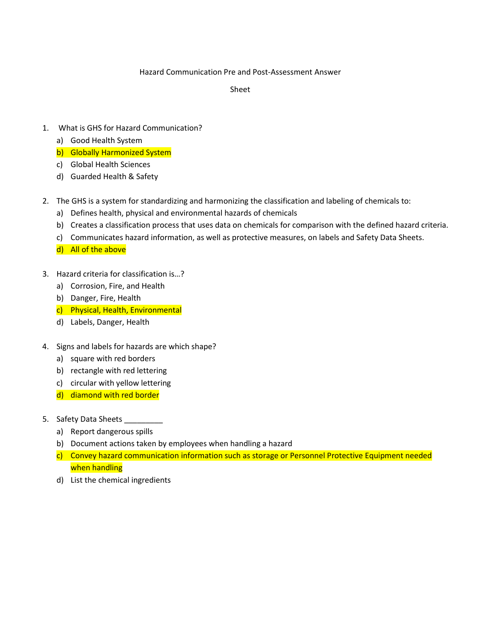## Hazard Communication Pre and Post-Assessment Answer

Sheet

- 1. What is GHS for Hazard Communication?
	- a) Good Health System
	- b) Globally Harmonized System
	- c) Global Health Sciences
	- d) Guarded Health & Safety
- 2. The GHS is a system for standardizing and harmonizing the classification and labeling of chemicals to:
	- a) Defines health, physical and environmental hazards of chemicals
	- b) Creates a classification process that uses data on chemicals for comparison with the defined hazard criteria.
	- c) Communicates hazard information, as well as protective measures, on labels and Safety Data Sheets.

d) All of the above

- 3. Hazard criteria for classification is…?
	- a) Corrosion, Fire, and Health
	- b) Danger, Fire, Health
	- c) Physical, Health, Environmental
	- d) Labels, Danger, Health
- 4. Signs and labels for hazards are which shape?
	- a) square with red borders
	- b) rectangle with red lettering
	- c) circular with yellow lettering
	- d) diamond with red border
- 5. Safety Data Sheets \_\_\_\_\_\_\_\_\_\_
	- a) Report dangerous spills
	- b) Document actions taken by employees when handling a hazard
	- c) Convey hazard communication information such as storage or Personnel Protective Equipment needed when handling
	- d) List the chemical ingredients